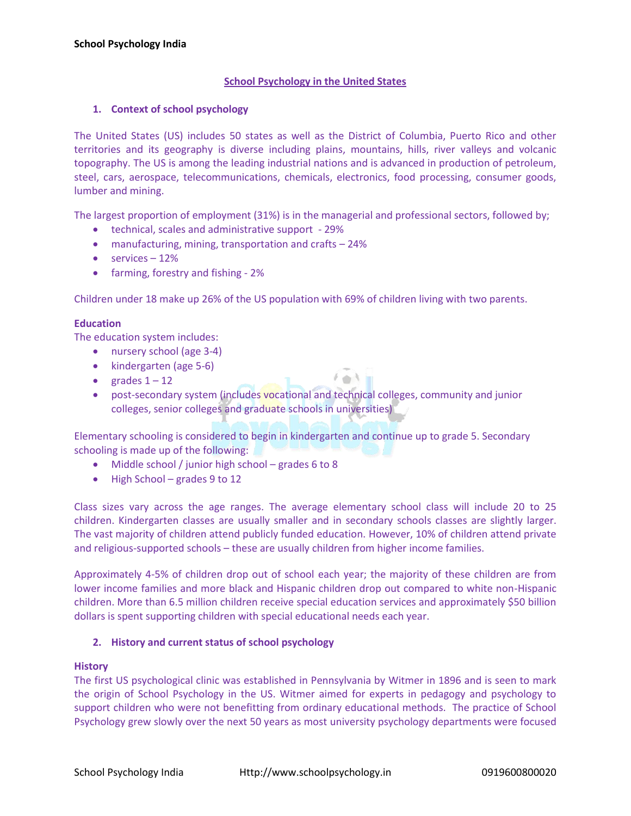## **School Psychology in the United States**

### **1. Context of school psychology**

The United States (US) includes 50 states as well as the District of Columbia, Puerto Rico and other territories and its geography is diverse including plains, mountains, hills, river valleys and volcanic topography. The US is among the leading industrial nations and is advanced in production of petroleum, steel, cars, aerospace, telecommunications, chemicals, electronics, food processing, consumer goods, lumber and mining.

The largest proportion of employment (31%) is in the managerial and professional sectors, followed by;

- technical, scales and administrative support 29%
- manufacturing, mining, transportation and crafts 24%
- $\bullet$  services 12%
- farming, forestry and fishing 2%

Children under 18 make up 26% of the US population with 69% of children living with two parents.

### **Education**

The education system includes:

- nursery school (age 3-4)
- kindergarten (age 5-6)
- grades  $1 12$
- **•** post-secondary system (includes vocational and technical colleges, community and junior colleges, senior colleges and graduate schools in universities)

 $\epsilon \rightarrow \lambda$ 

Elementary schooling is considered to begin in kindergarten and continue up to grade 5. Secondary schooling is made up of the following:

- Middle school / junior high school grades 6 to 8
- High School grades 9 to 12

Class sizes vary across the age ranges. The average elementary school class will include 20 to 25 children. Kindergarten classes are usually smaller and in secondary schools classes are slightly larger. The vast majority of children attend publicly funded education. However, 10% of children attend private and religious-supported schools – these are usually children from higher income families.

Approximately 4-5% of children drop out of school each year; the majority of these children are from lower income families and more black and Hispanic children drop out compared to white non-Hispanic children. More than 6.5 million children receive special education services and approximately \$50 billion dollars is spent supporting children with special educational needs each year.

### **2. History and current status of school psychology**

#### **History**

The first US psychological clinic was established in Pennsylvania by Witmer in 1896 and is seen to mark the origin of School Psychology in the US. Witmer aimed for experts in pedagogy and psychology to support children who were not benefitting from ordinary educational methods. The practice of School Psychology grew slowly over the next 50 years as most university psychology departments were focused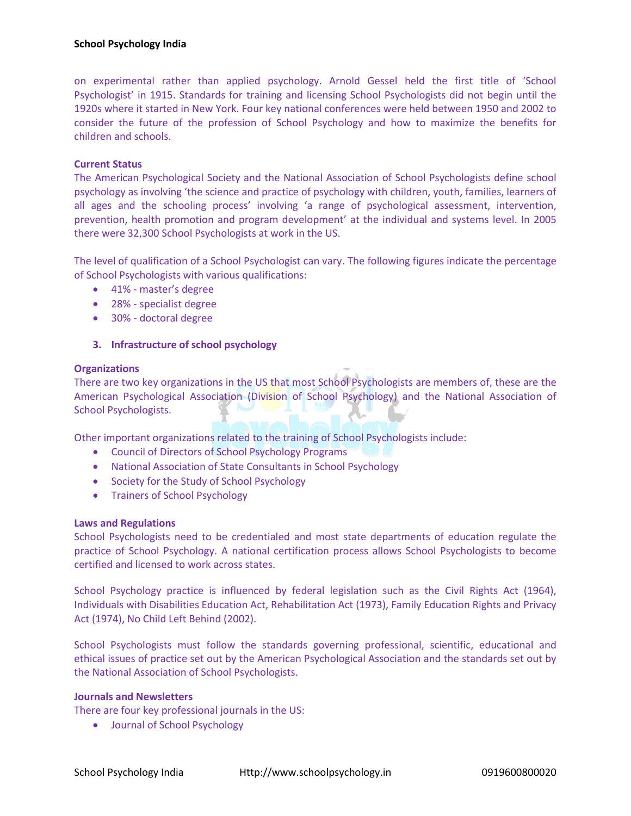#### **School Psychology India**

on experimental rather than applied psychology. Arnold Gessel held the first title of 'School Psychologist' in 1915. Standards for training and licensing School Psychologists did not begin until the 1920s where it started in New York. Four key national conferences were held between 1950 and 2002 to consider the future of the profession of School Psychology and how to maximize the benefits for children and schools.

#### **Current Status**

The American Psychological Society and the National Association of School Psychologists define school psychology as involving 'the science and practice of psychology with children, youth, families, learners of all ages and the schooling process' involving 'a range of psychological assessment, intervention, prevention, health promotion and program development' at the individual and systems level. In 2005 there were 32,300 School Psychologists at work in the US.

The level of qualification of a School Psychologist can vary. The following figures indicate the percentage of School Psychologists with various qualifications:

- 41% master's degree
- 28% specialist degree
- 30% doctoral degree

### **3. Infrastructure of school psychology**

#### **Organizations**

There are two key organizations in the US that most School Psychologists are members of, these are the American Psychological Association (Division of School Psychology) and the National Association of School Psychologists.

Other important organizations related to the training of School Psychologists include:

- Council of Directors of School Psychology Programs
- National Association of State Consultants in School Psychology
- Society for the Study of School Psychology
- Trainers of School Psychology

#### **Laws and Regulations**

School Psychologists need to be credentialed and most state departments of education regulate the practice of School Psychology. A national certification process allows School Psychologists to become certified and licensed to work across states.

School Psychology practice is influenced by federal legislation such as the Civil Rights Act (1964), Individuals with Disabilities Education Act, Rehabilitation Act (1973), Family Education Rights and Privacy Act (1974), No Child Left Behind (2002).

School Psychologists must follow the standards governing professional, scientific, educational and ethical issues of practice set out by the American Psychological Association and the standards set out by the National Association of School Psychologists.

#### **Journals and Newsletters**

There are four key professional journals in the US:

Journal of School Psychology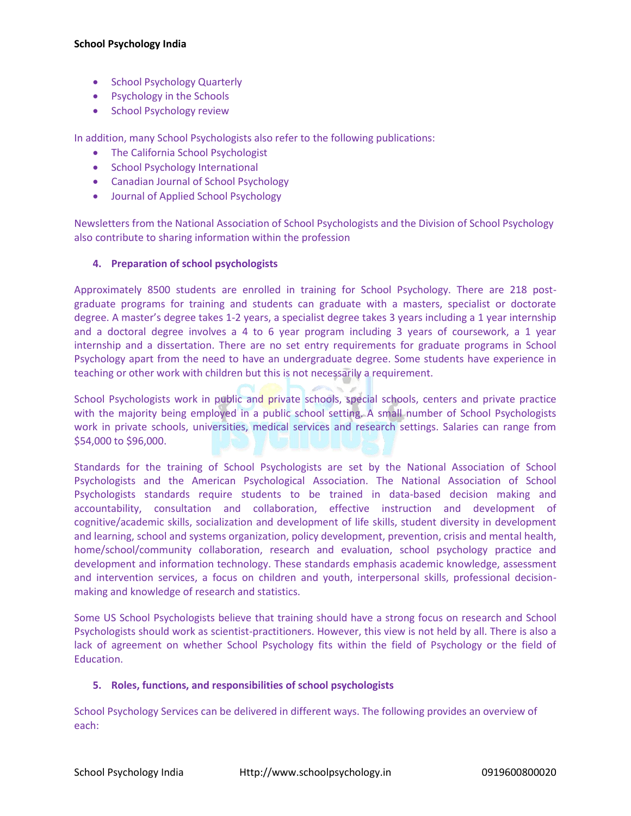### **School Psychology India**

- School Psychology Quarterly
- Psychology in the Schools
- School Psychology review

In addition, many School Psychologists also refer to the following publications:

- The California School Psychologist
- School Psychology International
- Canadian Journal of School Psychology
- Journal of Applied School Psychology

Newsletters from the National Association of School Psychologists and the Division of School Psychology also contribute to sharing information within the profession

### **4. Preparation of school psychologists**

Approximately 8500 students are enrolled in training for School Psychology. There are 218 postgraduate programs for training and students can graduate with a masters, specialist or doctorate degree. A master's degree takes 1-2 years, a specialist degree takes 3 years including a 1 year internship and a doctoral degree involves a 4 to 6 year program including 3 years of coursework, a 1 year internship and a dissertation. There are no set entry requirements for graduate programs in School Psychology apart from the need to have an undergraduate degree. Some students have experience in teaching or other work with children but this is not necessarily a requirement.

School Psychologists work in public and private schools, special schools, centers and private practice with the majority being employed in a public school setting. A small number of School Psychologists work in private schools, universities, medical services and research settings. Salaries can range from \$54,000 to \$96,000.

Standards for the training of School Psychologists are set by the National Association of School Psychologists and the American Psychological Association. The National Association of School Psychologists standards require students to be trained in data-based decision making and accountability, consultation and collaboration, effective instruction and development of cognitive/academic skills, socialization and development of life skills, student diversity in development and learning, school and systems organization, policy development, prevention, crisis and mental health, home/school/community collaboration, research and evaluation, school psychology practice and development and information technology. These standards emphasis academic knowledge, assessment and intervention services, a focus on children and youth, interpersonal skills, professional decisionmaking and knowledge of research and statistics.

Some US School Psychologists believe that training should have a strong focus on research and School Psychologists should work as scientist-practitioners. However, this view is not held by all. There is also a lack of agreement on whether School Psychology fits within the field of Psychology or the field of Education.

### **5. Roles, functions, and responsibilities of school psychologists**

School Psychology Services can be delivered in different ways. The following provides an overview of each: